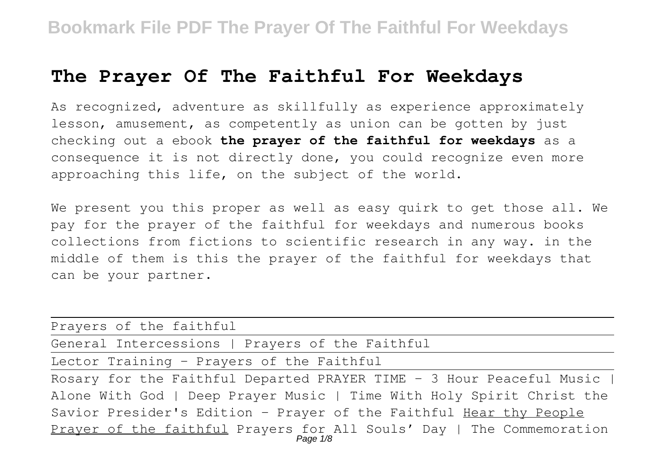# **The Prayer Of The Faithful For Weekdays**

As recognized, adventure as skillfully as experience approximately lesson, amusement, as competently as union can be gotten by just checking out a ebook **the prayer of the faithful for weekdays** as a consequence it is not directly done, you could recognize even more approaching this life, on the subject of the world.

We present you this proper as well as easy quirk to get those all. We pay for the prayer of the faithful for weekdays and numerous books collections from fictions to scientific research in any way. in the middle of them is this the prayer of the faithful for weekdays that can be your partner.

| Prayers of the faithful                                                           |
|-----------------------------------------------------------------------------------|
| General Intercessions   Prayers of the Faithful                                   |
| Lector Training - Prayers of the Faithful                                         |
| Rosary for the Faithful Departed PRAYER TIME - 3 Hour Peaceful Music              |
| Alone With God   Deep Prayer Music   Time With Holy Spirit Christ the             |
| Savior Presider's Edition - Prayer of the Faithful Hear thy People                |
| Prayer of the faithful Prayers for All Souls' Day   The Commemoration<br>Page 1/8 |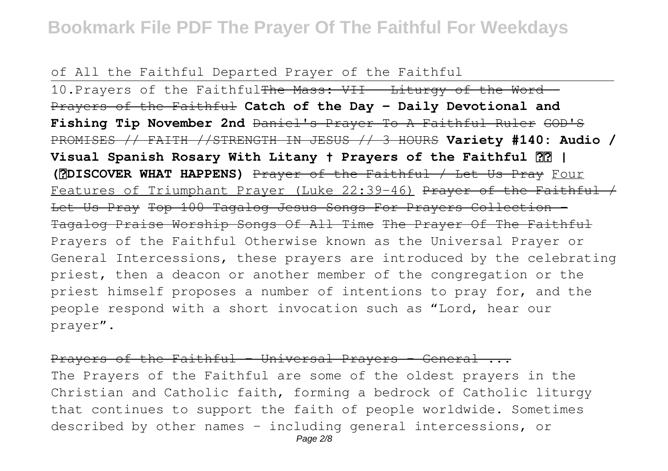of All the Faithful Departed Prayer of the Faithful

10. Prayers of the Faithful<del>The Mass: VII - Liturgy of the Word -</del> Prayers of the Faithful **Catch of the Day - Daily Devotional and Fishing Tip November 2nd** Daniel's Prayer To A Faithful Ruler GOD'S PROMISES // FAITH //STRENGTH IN JESUS // 3 HOURS **Variety #140: Audio / Visual Spanish Rosary With Litany † Prayers of the Faithful | (❤DISCOVER WHAT HAPPENS)** Prayer of the Faithful / Let Us Pray Four Features of Triumphant Prayer (Luke 22:39-46) Prayer of the Faithful  $\neq$ Let Us Pray Top 100 Tagalog Jesus Songs For Prayers Collection -Tagalog Praise Worship Songs Of All Time The Prayer Of The Faithful Prayers of the Faithful Otherwise known as the Universal Prayer or General Intercessions, these prayers are introduced by the celebrating priest, then a deacon or another member of the congregation or the priest himself proposes a number of intentions to pray for, and the people respond with a short invocation such as "Lord, hear our prayer".

Prayers of the Faithful - Universal Prayers - General ...

The Prayers of the Faithful are some of the oldest prayers in the Christian and Catholic faith, forming a bedrock of Catholic liturgy that continues to support the faith of people worldwide. Sometimes described by other names – including general intercessions, or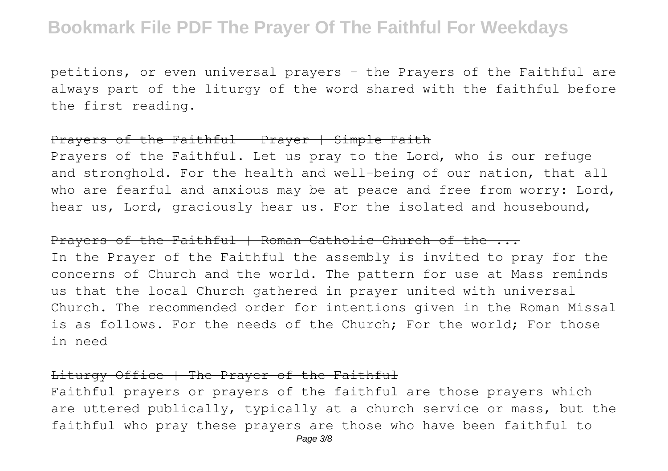petitions, or even universal prayers – the Prayers of the Faithful are always part of the liturgy of the word shared with the faithful before the first reading.

### Prayers of the Faithful - Prayer  $\frac{1}{1}$  Simple Faith

Prayers of the Faithful. Let us pray to the Lord, who is our refuge and stronghold. For the health and well-being of our nation, that all who are fearful and anxious may be at peace and free from worry: Lord, hear us, Lord, graciously hear us. For the isolated and housebound,

### Prayers of the Faithful | Roman Catholic Church of the ...

In the Prayer of the Faithful the assembly is invited to pray for the concerns of Church and the world. The pattern for use at Mass reminds us that the local Church gathered in prayer united with universal Church. The recommended order for intentions given in the Roman Missal is as follows. For the needs of the Church; For the world; For those in need

#### Liturgy Office | The Prayer of the Faithful

Faithful prayers or prayers of the faithful are those prayers which are uttered publically, typically at a church service or mass, but the faithful who pray these prayers are those who have been faithful to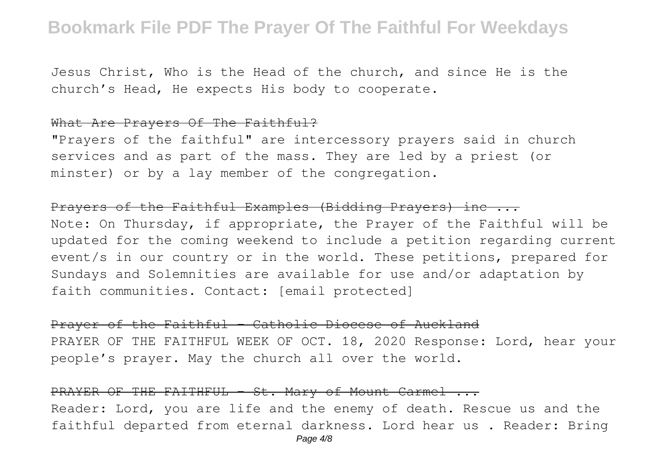Jesus Christ, Who is the Head of the church, and since He is the church's Head, He expects His body to cooperate.

### What Are Prayers Of The Faithful?

"Prayers of the faithful" are intercessory prayers said in church services and as part of the mass. They are led by a priest (or minster) or by a lay member of the congregation.

### Prayers of the Faithful Examples (Bidding Prayers) inc ...

Note: On Thursday, if appropriate, the Prayer of the Faithful will be updated for the coming weekend to include a petition regarding current event/s in our country or in the world. These petitions, prepared for Sundays and Solemnities are available for use and/or adaptation by faith communities. Contact: [email protected]

### Prayer of the Faithful - Catholic Diocese of Auckland

PRAYER OF THE FAITHFUL WEEK OF OCT. 18, 2020 Response: Lord, hear your people's prayer. May the church all over the world.

#### PRAYER OF THE FAITHFUL - St. Mary of Mount Carmel ...

Reader: Lord, you are life and the enemy of death. Rescue us and the faithful departed from eternal darkness. Lord hear us . Reader: Bring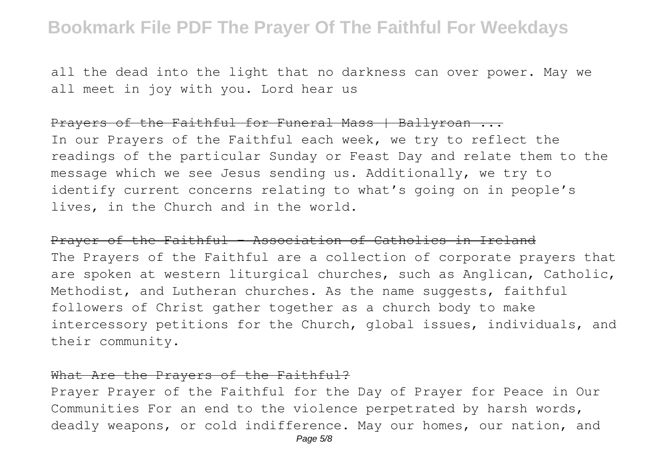all the dead into the light that no darkness can over power. May we all meet in joy with you. Lord hear us

### Prayers of the Faithful for Funeral Mass | Ballyroan ...

In our Prayers of the Faithful each week, we try to reflect the readings of the particular Sunday or Feast Day and relate them to the message which we see Jesus sending us. Additionally, we try to identify current concerns relating to what's going on in people's lives, in the Church and in the world.

Prayer of the Faithful - Association of Catholics in Ireland The Prayers of the Faithful are a collection of corporate prayers that are spoken at western liturgical churches, such as Anglican, Catholic, Methodist, and Lutheran churches. As the name suggests, faithful followers of Christ gather together as a church body to make intercessory petitions for the Church, global issues, individuals, and their community.

#### What Are the Prayers of the Faithful?

Prayer Prayer of the Faithful for the Day of Prayer for Peace in Our Communities For an end to the violence perpetrated by harsh words, deadly weapons, or cold indifference. May our homes, our nation, and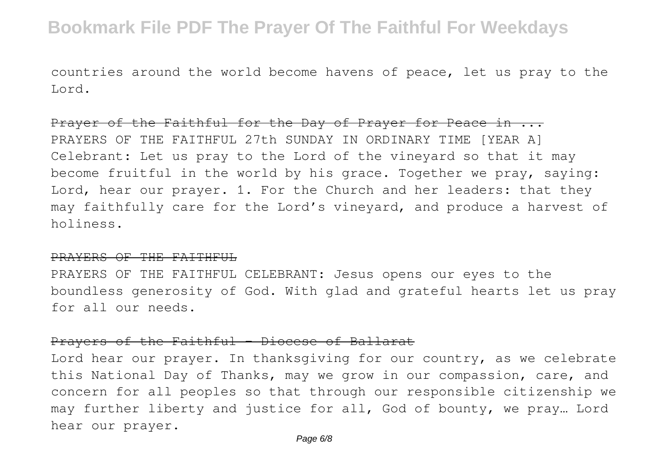countries around the world become havens of peace, let us pray to the Lord.

Prayer of the Faithful for the Day of Prayer for Peace in ... PRAYERS OF THE FAITHFUL 27th SUNDAY IN ORDINARY TIME [YEAR A] Celebrant: Let us pray to the Lord of the vineyard so that it may become fruitful in the world by his grace. Together we pray, saying: Lord, hear our prayer. 1. For the Church and her leaders: that they may faithfully care for the Lord's vineyard, and produce a harvest of holiness.

#### PRAYERS OF THE FAITHFUL

PRAYERS OF THE FAITHFUL CELEBRANT: Jesus opens our eyes to the boundless generosity of God. With glad and grateful hearts let us pray for all our needs.

#### Prayers of the Faithful – Diocese of Ballarat

Lord hear our prayer. In thanksgiving for our country, as we celebrate this National Day of Thanks, may we grow in our compassion, care, and concern for all peoples so that through our responsible citizenship we may further liberty and justice for all, God of bounty, we pray… Lord hear our prayer.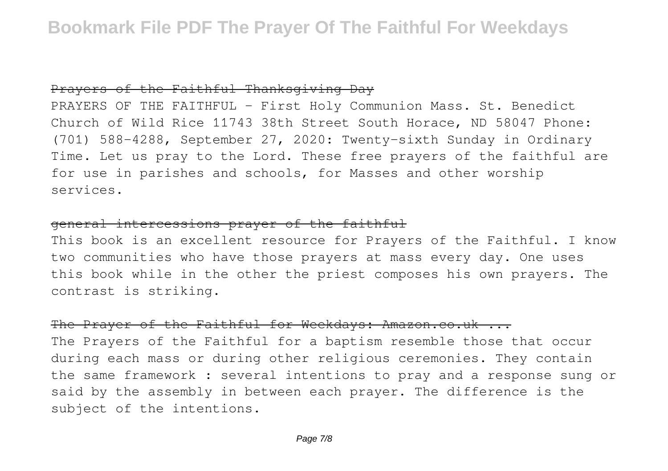## Prayers of the Faithful Thanksgiving Day

PRAYERS OF THE FAITHFUL - First Holy Communion Mass. St. Benedict Church of Wild Rice 11743 38th Street South Horace, ND 58047 Phone: (701) 588-4288, September 27, 2020: Twenty-sixth Sunday in Ordinary Time. Let us pray to the Lord. These free prayers of the faithful are for use in parishes and schools, for Masses and other worship services.

## general intercessions prayer of the faithful

This book is an excellent resource for Prayers of the Faithful. I know two communities who have those prayers at mass every day. One uses this book while in the other the priest composes his own prayers. The contrast is striking.

### The Prayer of the Faithful for Weekdays: Amazon.co.uk ...

The Prayers of the Faithful for a baptism resemble those that occur during each mass or during other religious ceremonies. They contain the same framework : several intentions to pray and a response sung or said by the assembly in between each prayer. The difference is the subject of the intentions.